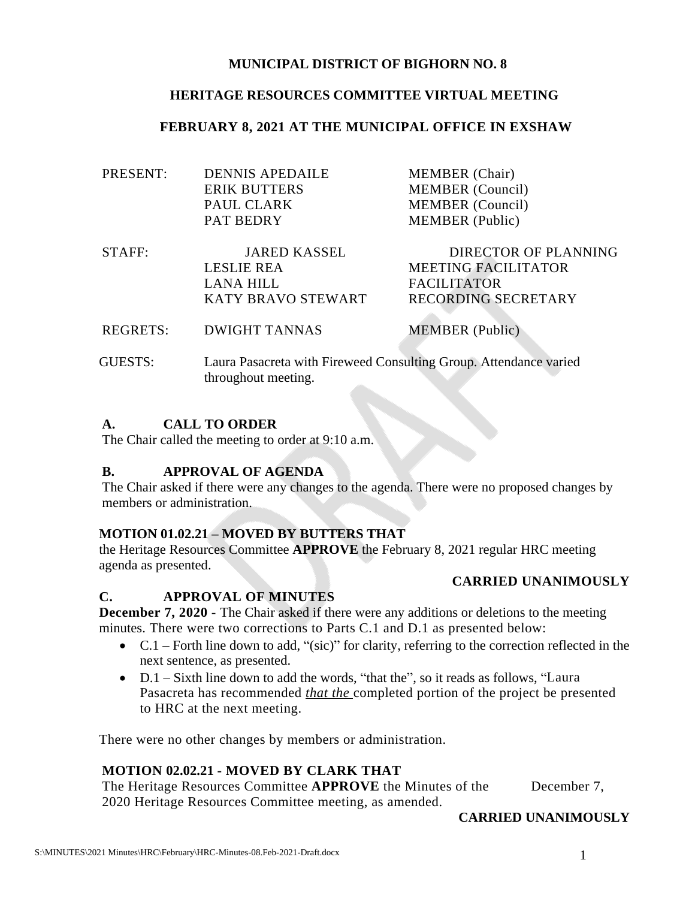#### **MUNICIPAL DISTRICT OF BIGHORN NO. 8**

## **HERITAGE RESOURCES COMMITTEE VIRTUAL MEETING**

#### **FEBRUARY 8, 2021 AT THE MUNICIPAL OFFICE IN EXSHAW**

| PRESENT: | <b>DENNIS APEDAILE</b> | <b>MEMBER</b> (Chair)      |
|----------|------------------------|----------------------------|
|          | <b>ERIK BUTTERS</b>    | <b>MEMBER</b> (Council)    |
|          | PAUL CLARK             | <b>MEMBER</b> (Council)    |
|          | <b>PAT BEDRY</b>       | <b>MEMBER</b> (Public)     |
| STAFF:   | <b>JARED KASSEL</b>    | DIRECTOR OF PLANNING       |
|          | <b>LESLIE REA</b>      | <b>MEETING FACILITATOR</b> |
|          | <b>LANA HILL</b>       | <b>FACILITATOR</b>         |
|          | KATY BRAVO STEWART     | <b>RECORDING SECRETARY</b> |
|          |                        |                            |

REGRETS: DWIGHT TANNAS MEMBER (Public)

GUESTS: Laura Pasacreta with Fireweed Consulting Group. Attendance varied throughout meeting.

#### **A. CALL TO ORDER**

The Chair called the meeting to order at 9:10 a.m.

## **B. APPROVAL OF AGENDA**

The Chair asked if there were any changes to the agenda. There were no proposed changes by members or administration.

#### **MOTION 01.02.21 – MOVED BY BUTTERS THAT**

the Heritage Resources Committee **APPROVE** the February 8, 2021 regular HRC meeting agenda as presented.

## **CARRIED UNANIMOUSLY**

#### **C. APPROVAL OF MINUTES**

**December 7, 2020** - The Chair asked if there were any additions or deletions to the meeting minutes. There were two corrections to Parts C.1 and D.1 as presented below:

- C.1 Forth line down to add, "(sic)" for clarity, referring to the correction reflected in the next sentence, as presented.
- D.1 Sixth line down to add the words, "that the", so it reads as follows, "Laura" Pasacreta has recommended *that the* completed portion of the project be presented to HRC at the next meeting.

There were no other changes by members or administration.

## **MOTION 02.02.21 - MOVED BY CLARK THAT**

The Heritage Resources Committee **APPROVE** the Minutes of the December 7, 2020 Heritage Resources Committee meeting, as amended.

## **CARRIED UNANIMOUSLY**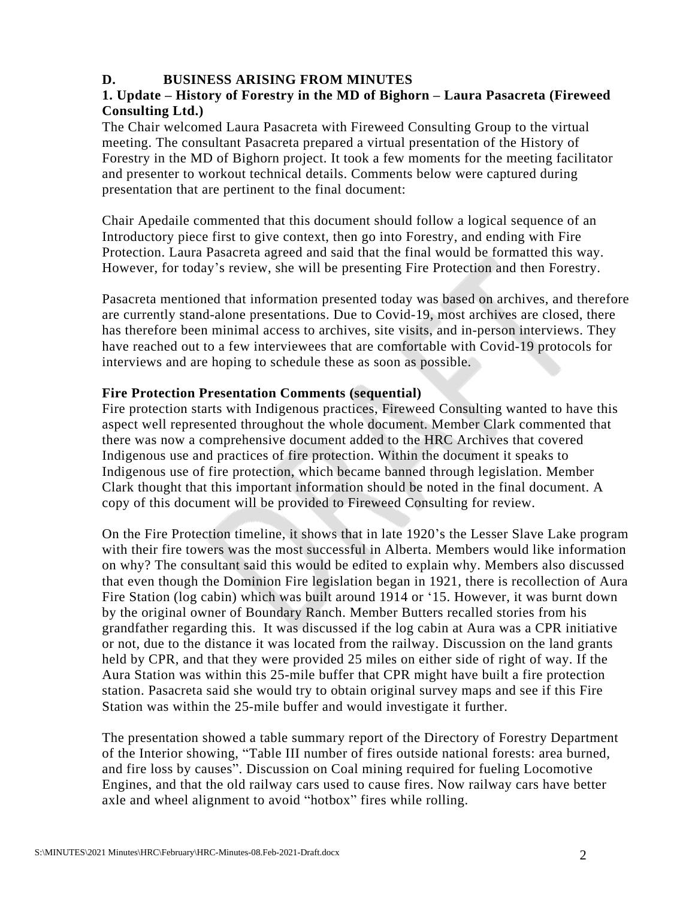## **D. BUSINESS ARISING FROM MINUTES**

## **1. Update – History of Forestry in the MD of Bighorn – Laura Pasacreta (Fireweed Consulting Ltd.)**

The Chair welcomed Laura Pasacreta with Fireweed Consulting Group to the virtual meeting. The consultant Pasacreta prepared a virtual presentation of the History of Forestry in the MD of Bighorn project. It took a few moments for the meeting facilitator and presenter to workout technical details. Comments below were captured during presentation that are pertinent to the final document:

Chair Apedaile commented that this document should follow a logical sequence of an Introductory piece first to give context, then go into Forestry, and ending with Fire Protection. Laura Pasacreta agreed and said that the final would be formatted this way. However, for today's review, she will be presenting Fire Protection and then Forestry.

Pasacreta mentioned that information presented today was based on archives, and therefore are currently stand-alone presentations. Due to Covid-19, most archives are closed, there has therefore been minimal access to archives, site visits, and in-person interviews. They have reached out to a few interviewees that are comfortable with Covid-19 protocols for interviews and are hoping to schedule these as soon as possible.

## **Fire Protection Presentation Comments (sequential)**

Fire protection starts with Indigenous practices, Fireweed Consulting wanted to have this aspect well represented throughout the whole document. Member Clark commented that there was now a comprehensive document added to the HRC Archives that covered Indigenous use and practices of fire protection. Within the document it speaks to Indigenous use of fire protection, which became banned through legislation. Member Clark thought that this important information should be noted in the final document. A copy of this document will be provided to Fireweed Consulting for review.

On the Fire Protection timeline, it shows that in late 1920's the Lesser Slave Lake program with their fire towers was the most successful in Alberta. Members would like information on why? The consultant said this would be edited to explain why. Members also discussed that even though the Dominion Fire legislation began in 1921, there is recollection of Aura Fire Station (log cabin) which was built around 1914 or '15. However, it was burnt down by the original owner of Boundary Ranch. Member Butters recalled stories from his grandfather regarding this. It was discussed if the log cabin at Aura was a CPR initiative or not, due to the distance it was located from the railway. Discussion on the land grants held by CPR, and that they were provided 25 miles on either side of right of way. If the Aura Station was within this 25-mile buffer that CPR might have built a fire protection station. Pasacreta said she would try to obtain original survey maps and see if this Fire Station was within the 25-mile buffer and would investigate it further.

The presentation showed a table summary report of the Directory of Forestry Department of the Interior showing, "Table III number of fires outside national forests: area burned, and fire loss by causes". Discussion on Coal mining required for fueling Locomotive Engines, and that the old railway cars used to cause fires. Now railway cars have better axle and wheel alignment to avoid "hotbox" fires while rolling.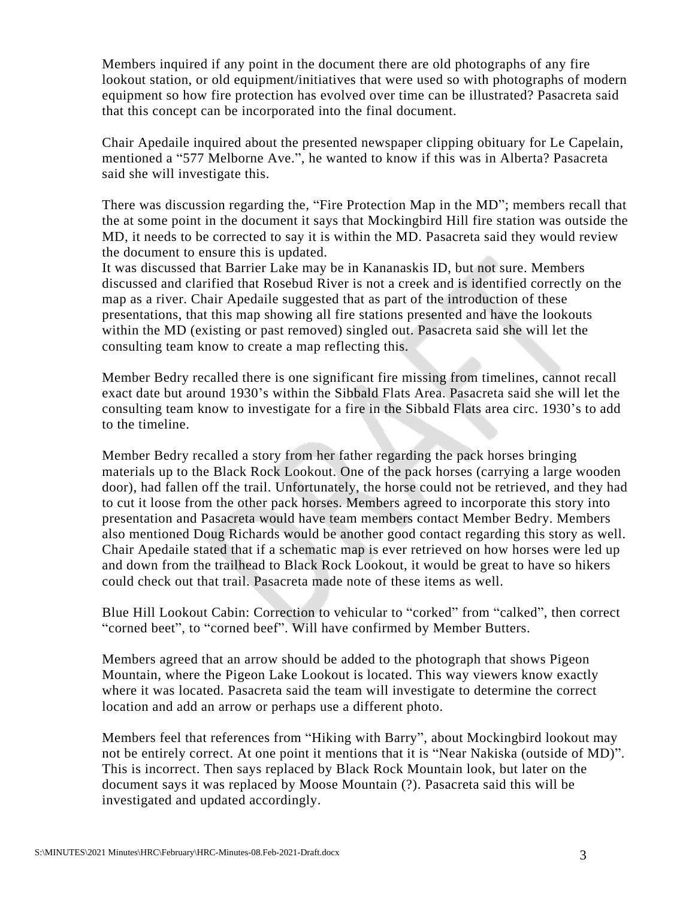Members inquired if any point in the document there are old photographs of any fire lookout station, or old equipment/initiatives that were used so with photographs of modern equipment so how fire protection has evolved over time can be illustrated? Pasacreta said that this concept can be incorporated into the final document.

Chair Apedaile inquired about the presented newspaper clipping obituary for Le Capelain, mentioned a "577 Melborne Ave.", he wanted to know if this was in Alberta? Pasacreta said she will investigate this.

There was discussion regarding the, "Fire Protection Map in the MD"; members recall that the at some point in the document it says that Mockingbird Hill fire station was outside the MD, it needs to be corrected to say it is within the MD. Pasacreta said they would review the document to ensure this is updated.

It was discussed that Barrier Lake may be in Kananaskis ID, but not sure. Members discussed and clarified that Rosebud River is not a creek and is identified correctly on the map as a river. Chair Apedaile suggested that as part of the introduction of these presentations, that this map showing all fire stations presented and have the lookouts within the MD (existing or past removed) singled out. Pasacreta said she will let the consulting team know to create a map reflecting this.

Member Bedry recalled there is one significant fire missing from timelines, cannot recall exact date but around 1930's within the Sibbald Flats Area. Pasacreta said she will let the consulting team know to investigate for a fire in the Sibbald Flats area circ. 1930's to add to the timeline.

Member Bedry recalled a story from her father regarding the pack horses bringing materials up to the Black Rock Lookout. One of the pack horses (carrying a large wooden door), had fallen off the trail. Unfortunately, the horse could not be retrieved, and they had to cut it loose from the other pack horses. Members agreed to incorporate this story into presentation and Pasacreta would have team members contact Member Bedry. Members also mentioned Doug Richards would be another good contact regarding this story as well. Chair Apedaile stated that if a schematic map is ever retrieved on how horses were led up and down from the trailhead to Black Rock Lookout, it would be great to have so hikers could check out that trail. Pasacreta made note of these items as well.

Blue Hill Lookout Cabin: Correction to vehicular to "corked" from "calked", then correct "corned beet", to "corned beef". Will have confirmed by Member Butters.

Members agreed that an arrow should be added to the photograph that shows Pigeon Mountain, where the Pigeon Lake Lookout is located. This way viewers know exactly where it was located. Pasacreta said the team will investigate to determine the correct location and add an arrow or perhaps use a different photo.

Members feel that references from "Hiking with Barry", about Mockingbird lookout may not be entirely correct. At one point it mentions that it is "Near Nakiska (outside of MD)". This is incorrect. Then says replaced by Black Rock Mountain look, but later on the document says it was replaced by Moose Mountain (?). Pasacreta said this will be investigated and updated accordingly.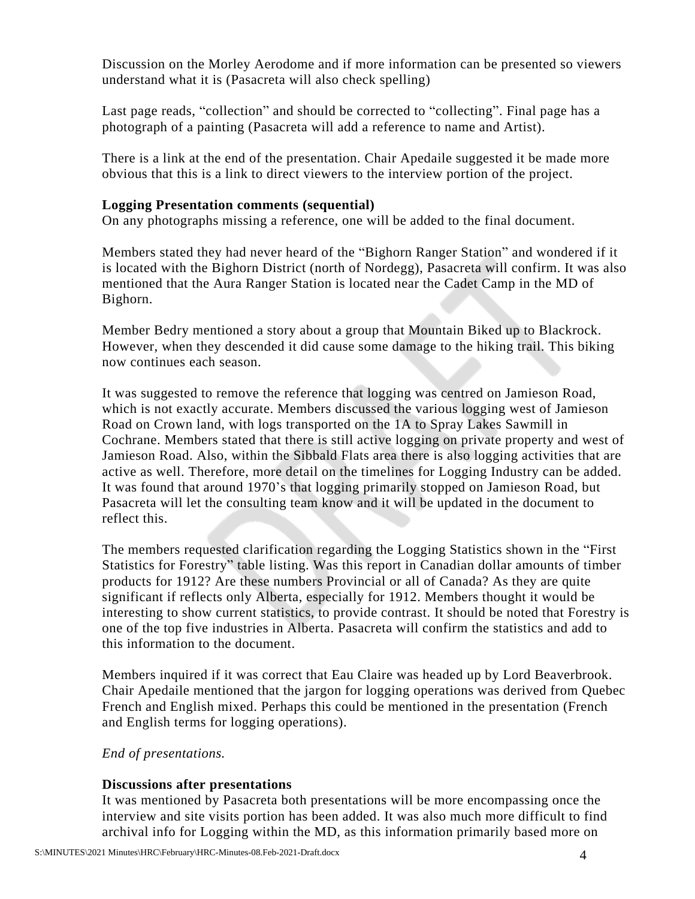Discussion on the Morley Aerodome and if more information can be presented so viewers understand what it is (Pasacreta will also check spelling)

Last page reads, "collection" and should be corrected to "collecting". Final page has a photograph of a painting (Pasacreta will add a reference to name and Artist).

There is a link at the end of the presentation. Chair Apedaile suggested it be made more obvious that this is a link to direct viewers to the interview portion of the project.

#### **Logging Presentation comments (sequential)**

On any photographs missing a reference, one will be added to the final document.

Members stated they had never heard of the "Bighorn Ranger Station" and wondered if it is located with the Bighorn District (north of Nordegg), Pasacreta will confirm. It was also mentioned that the Aura Ranger Station is located near the Cadet Camp in the MD of Bighorn.

Member Bedry mentioned a story about a group that Mountain Biked up to Blackrock. However, when they descended it did cause some damage to the hiking trail. This biking now continues each season.

It was suggested to remove the reference that logging was centred on Jamieson Road, which is not exactly accurate. Members discussed the various logging west of Jamieson Road on Crown land, with logs transported on the 1A to Spray Lakes Sawmill in Cochrane. Members stated that there is still active logging on private property and west of Jamieson Road. Also, within the Sibbald Flats area there is also logging activities that are active as well. Therefore, more detail on the timelines for Logging Industry can be added. It was found that around 1970's that logging primarily stopped on Jamieson Road, but Pasacreta will let the consulting team know and it will be updated in the document to reflect this.

The members requested clarification regarding the Logging Statistics shown in the "First Statistics for Forestry" table listing. Was this report in Canadian dollar amounts of timber products for 1912? Are these numbers Provincial or all of Canada? As they are quite significant if reflects only Alberta, especially for 1912. Members thought it would be interesting to show current statistics, to provide contrast. It should be noted that Forestry is one of the top five industries in Alberta. Pasacreta will confirm the statistics and add to this information to the document.

Members inquired if it was correct that Eau Claire was headed up by Lord Beaverbrook. Chair Apedaile mentioned that the jargon for logging operations was derived from Quebec French and English mixed. Perhaps this could be mentioned in the presentation (French and English terms for logging operations).

*End of presentations.*

## **Discussions after presentations**

It was mentioned by Pasacreta both presentations will be more encompassing once the interview and site visits portion has been added. It was also much more difficult to find archival info for Logging within the MD, as this information primarily based more on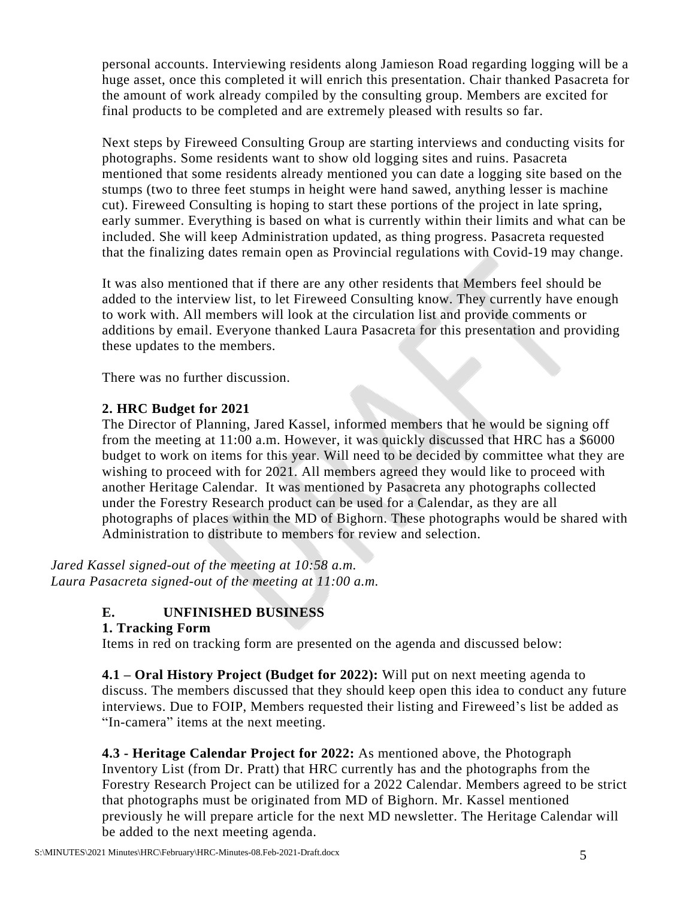personal accounts. Interviewing residents along Jamieson Road regarding logging will be a huge asset, once this completed it will enrich this presentation. Chair thanked Pasacreta for the amount of work already compiled by the consulting group. Members are excited for final products to be completed and are extremely pleased with results so far.

Next steps by Fireweed Consulting Group are starting interviews and conducting visits for photographs. Some residents want to show old logging sites and ruins. Pasacreta mentioned that some residents already mentioned you can date a logging site based on the stumps (two to three feet stumps in height were hand sawed, anything lesser is machine cut). Fireweed Consulting is hoping to start these portions of the project in late spring, early summer. Everything is based on what is currently within their limits and what can be included. She will keep Administration updated, as thing progress. Pasacreta requested that the finalizing dates remain open as Provincial regulations with Covid-19 may change.

It was also mentioned that if there are any other residents that Members feel should be added to the interview list, to let Fireweed Consulting know. They currently have enough to work with. All members will look at the circulation list and provide comments or additions by email. Everyone thanked Laura Pasacreta for this presentation and providing these updates to the members.

There was no further discussion.

## **2. HRC Budget for 2021**

The Director of Planning, Jared Kassel, informed members that he would be signing off from the meeting at 11:00 a.m. However, it was quickly discussed that HRC has a \$6000 budget to work on items for this year. Will need to be decided by committee what they are wishing to proceed with for 2021. All members agreed they would like to proceed with another Heritage Calendar. It was mentioned by Pasacreta any photographs collected under the Forestry Research product can be used for a Calendar, as they are all photographs of places within the MD of Bighorn. These photographs would be shared with Administration to distribute to members for review and selection.

*Jared Kassel signed-out of the meeting at 10:58 a.m. Laura Pasacreta signed-out of the meeting at 11:00 a.m.*

# **E. UNFINISHED BUSINESS**

#### **1. Tracking Form**

Items in red on tracking form are presented on the agenda and discussed below:

**4.1 – Oral History Project (Budget for 2022):** Will put on next meeting agenda to discuss. The members discussed that they should keep open this idea to conduct any future interviews. Due to FOIP, Members requested their listing and Fireweed's list be added as "In-camera" items at the next meeting.

**4.3 - Heritage Calendar Project for 2022:** As mentioned above, the Photograph Inventory List (from Dr. Pratt) that HRC currently has and the photographs from the Forestry Research Project can be utilized for a 2022 Calendar. Members agreed to be strict that photographs must be originated from MD of Bighorn. Mr. Kassel mentioned previously he will prepare article for the next MD newsletter. The Heritage Calendar will be added to the next meeting agenda.